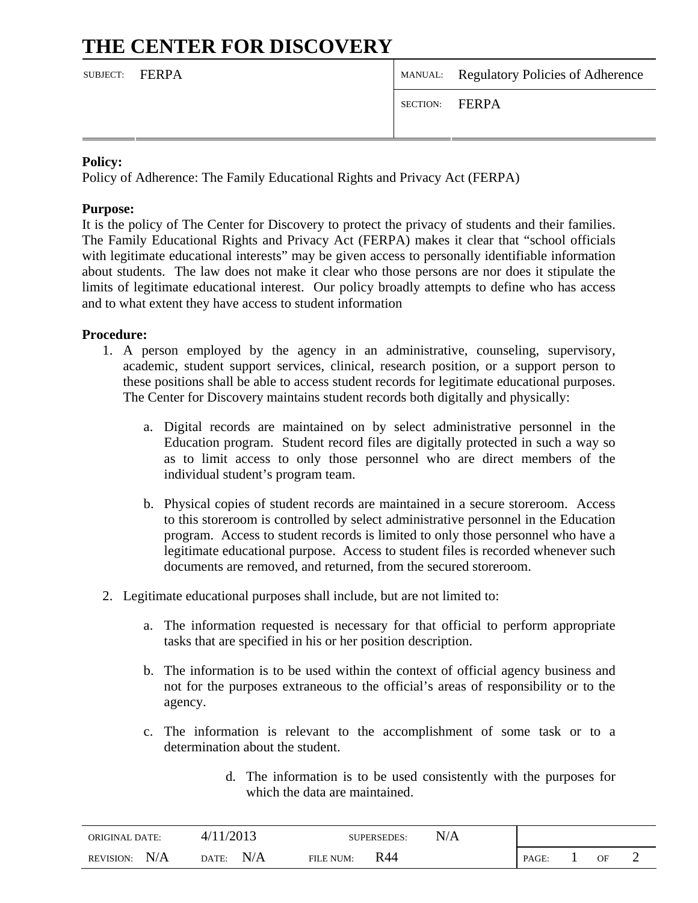# **THE CENTER FOR DISCOVERY**

| SUBJECT: FERPA |                | MANUAL: Regulatory Policies of Adherence |
|----------------|----------------|------------------------------------------|
|                | SECTION: FERPA |                                          |
|                |                |                                          |

## **Policy:**

Policy of Adherence: The Family Educational Rights and Privacy Act (FERPA)

#### **Purpose:**

It is the policy of The Center for Discovery to protect the privacy of students and their families. The Family Educational Rights and Privacy Act (FERPA) makes it clear that "school officials with legitimate educational interests" may be given access to personally identifiable information about students. The law does not make it clear who those persons are nor does it stipulate the limits of legitimate educational interest. Our policy broadly attempts to define who has access and to what extent they have access to student information

### **Procedure:**

- 1. A person employed by the agency in an administrative, counseling, supervisory, academic, student support services, clinical, research position, or a support person to these positions shall be able to access student records for legitimate educational purposes. The Center for Discovery maintains student records both digitally and physically:
	- a. Digital records are maintained on by select administrative personnel in the Education program. Student record files are digitally protected in such a way so as to limit access to only those personnel who are direct members of the individual student's program team.
	- b. Physical copies of student records are maintained in a secure storeroom. Access to this storeroom is controlled by select administrative personnel in the Education program. Access to student records is limited to only those personnel who have a legitimate educational purpose. Access to student files is recorded whenever such documents are removed, and returned, from the secured storeroom.
- 2. Legitimate educational purposes shall include, but are not limited to:
	- a. The information requested is necessary for that official to perform appropriate tasks that are specified in his or her position description.
	- b. The information is to be used within the context of official agency business and not for the purposes extraneous to the official's areas of responsibility or to the agency.
	- c. The information is relevant to the accomplishment of some task or to a determination about the student.

| d. The information is to be used consistently with the purposes for |  |
|---------------------------------------------------------------------|--|
| which the data are maintained.                                      |  |

| <b>ORIGINAL DATE:</b>   | /2013<br>4 <sub>1</sub> | N/A<br><b>SUPERSEDES:</b> |       |    |  |
|-------------------------|-------------------------|---------------------------|-------|----|--|
| N/A<br><b>REVISION:</b> | N/A<br>DATE:            | R44<br><b>FILE NUM:</b>   | PAGE: | OF |  |